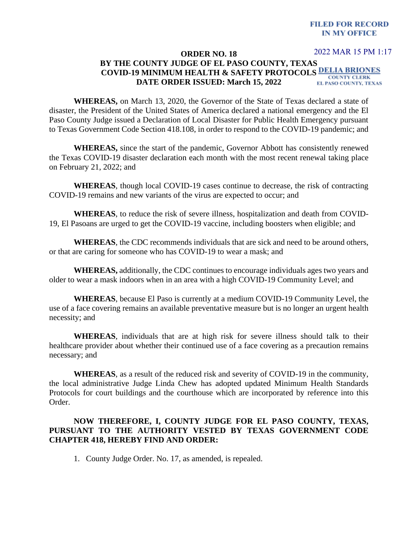## **FILED FOR RECORD IN MY OFFICE**

2022 MAR 15 PM 1:17

## **ORDER NO. 18 BY THE COUNTY JUDGE OF EL PASO COUNTY, TEXAS COVID-19 MINIMUM HEALTH & SAFETY PROTOCOLS COUNTY CLERK DATE ORDER ISSUED: March 15, 2022** EL PASO COUNTY, TEXAS

**WHEREAS,** on March 13, 2020, the Governor of the State of Texas declared a state of disaster, the President of the United States of America declared a national emergency and the El Paso County Judge issued a Declaration of Local Disaster for Public Health Emergency pursuant to Texas Government Code Section 418.108, in order to respond to the COVID-19 pandemic; and

**WHEREAS,** since the start of the pandemic, Governor Abbott has consistently renewed the Texas COVID-19 disaster declaration each month with the most recent renewal taking place on February 21, 2022; and

**WHEREAS**, though local COVID-19 cases continue to decrease, the risk of contracting COVID-19 remains and new variants of the virus are expected to occur; and

**WHEREAS**, to reduce the risk of severe illness, hospitalization and death from COVID-19, El Pasoans are urged to get the COVID-19 vaccine, including boosters when eligible; and

**WHEREAS**, the CDC recommends individuals that are sick and need to be around others, or that are caring for someone who has COVID-19 to wear a mask; and

**WHEREAS,** additionally, the CDC continues to encourage individuals ages two years and older to wear a mask indoors when in an area with a high COVID-19 Community Level; and

**WHEREAS**, because El Paso is currently at a medium COVID-19 Community Level, the use of a face covering remains an available preventative measure but is no longer an urgent health necessity; and

**WHEREAS**, individuals that are at high risk for severe illness should talk to their healthcare provider about whether their continued use of a face covering as a precaution remains necessary; and

**WHEREAS**, as a result of the reduced risk and severity of COVID-19 in the community, the local administrative Judge Linda Chew has adopted updated Minimum Health Standards Protocols for court buildings and the courthouse which are incorporated by reference into this Order.

## **NOW THEREFORE, I, COUNTY JUDGE FOR EL PASO COUNTY, TEXAS, PURSUANT TO THE AUTHORITY VESTED BY TEXAS GOVERNMENT CODE CHAPTER 418, HEREBY FIND AND ORDER:**

1. County Judge Order. No. 17, as amended, is repealed.